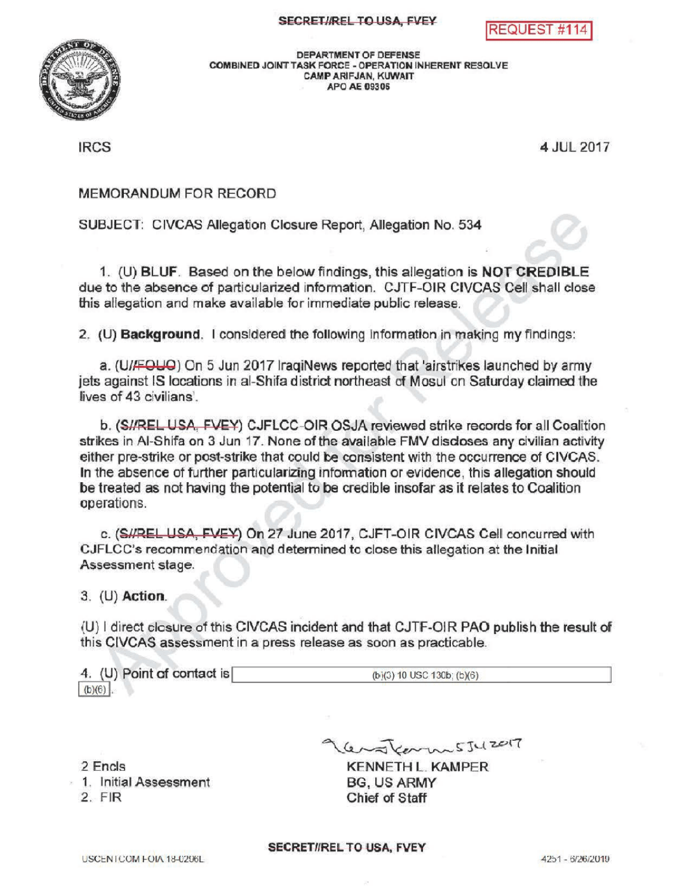QUEST #1



DEPARTMENT OF DEFENSE COMBINED JOINT TASK FORCE - OPERATION INHERENT RESOLVE CAMPARIFJAN, KUWAIT APOAE09306

IRCS 4 JUL 2017

## MEMORANDUMFOR RECORD

SUBJECT: CIVCAS Allegation Closure Report, Allegation No. 534

1. (U) BLUF. Based on the below findings, this allegation is NOT CREDIBLE due to the absence of particularized information. CJTF-OIR CIVCAS Cell shall close this allegation and make available for immediate public release.

2. (U) **Background.** I considered the following information in making my findings:

a. (U/FQUO) On 5 Jun 2017 IraqiNews reported that 'airstrikes launched by army jets against IS locations in al-Shifa district northeast of Mosul on Saturday claimed the lives of 43 civilians .

b. (SI/REL USA, FVEY) CJFLCC-OIR OSJA reviewed strike records for all Coalition strikes in Al-Shifa on 3 Jun 17. None of the available FMV discloses any civilian activity either pre-strike or post-strike that could be consistent with the occurrence of CIVCAS. In the absence of further particularizing information or evidence, this allegation should be treated as not having the potential to be credible insofar as it relates to Coalition operations

c. (SHREL USA, FVEY) On 27 June 2017, CJFT-OIR CIVCAS Cell concurred with CJFLCC's recommendation and determined to close this allegation at the Initial Assessment stage.

3. (U) Action

(U) I direct closure of this CIVCAS incident and that CJTF-OIR PAO publish the result of this CIVCAS assessment in a press release as soon as practicable.

4. (U) Point of contact is  $(b)(3)$  10 USC 130b;  $(b)(6)$  $(b)(6)$ .

2 Fncls

1. InitialAssessment 2. FIR

lenskarmssuzer7

KENNETHL. KAMPER BG, US ARMY Chief of Staff